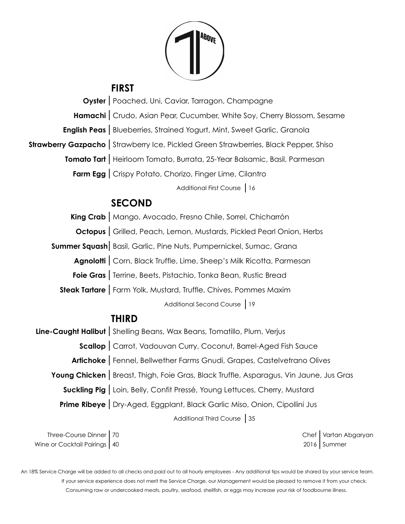

### **FIRST**

**Oyster** | Poached, Uni, Caviar, Tarragon, Champagne **Hamachi** | Crudo, Asian Pear, Cucumber, White Soy, Cherry Blossom, Sesame **English Peas** | Blueberries, Strained Yogurt, Mint, Sweet Garlic, Granola **Strawberry Gazpacho** | Strawberry Ice, Pickled Green Strawberries, Black Pepper, Shiso **Tomato Tart** Heirloom Tomato, Burrata, 25-Year Balsamic, Basil, Parmesan **Farm Egg** | Crispy Potato, Chorizo, Finger Lime, Cilantro Additional First Course | 16

## **SECOND**

King Crab | Mango, Avocado, Fresno Chile, Sorrel, Chicharrón **Octopus** Grilled, Peach, Lemon, Mustards, Pickled Pearl Onion, Herbs **Summer Squash** Basil, Garlic, Pine Nuts, Pumpernickel, Sumac, Grana Agnolotti | Corn, Black Truffle, Lime, Sheep's Milk Ricotta, Parmesan **Foie Gras** | Terrine, Beets, Pistachio, Tonka Bean, Rustic Bread **Steak Tartare |** Farm Yolk, Mustard, Truffle, Chives, Pommes Maxim Additional Second Course | 19 **THIRD Line-Caught Halibut** | Shelling Beans, Wax Beans, Tomatillo, Plum, Verjus

**Scallop** | Carrot, Vadouvan Curry, Coconut, Barrel-Aged Fish Sauce Artichoke | Fennel, Bellwether Farms Gnudi, Grapes, Castelvetrano Olives Young Chicken | Breast, Thigh, Foie Gras, Black Truffle, Asparagus, Vin Jaune, Jus Gras **Suckling Pig** Loin, Belly, Confit Pressé, Young Lettuces, Cherry, Mustard **Prime Ribeye** | Dry-Aged, Eggplant, Black Garlic Miso, Onion, Cipollini Jus Additional Third Course 35

Three-Course Dinner 70 Chef Vartan Abgaryan Wine or Cocktail Pairings | 40 2016 | Summer

 An 18% Service Charge will be added to all checks and paid out to all hourly employees - Any additional tips would be shared by your service team. If your service experience does not merit the Service Charge, our Management would be pleased to remove it from your check. Consuming raw or undercooked meats, poultry, seafood, shellfish, or eggs may increase your risk of foodbourne illness.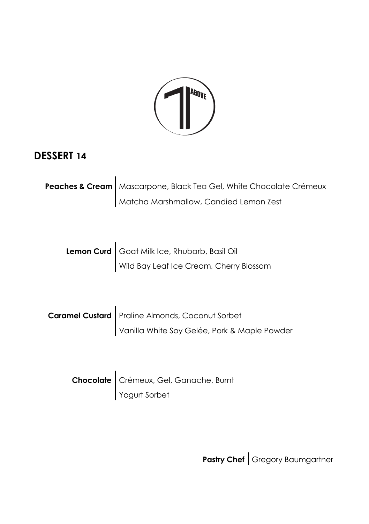

#### **DESSERT 14**

| Peaches & Cream   Mascarpone, Black Tea Gel, White Chocolate Crémeux |
|----------------------------------------------------------------------|
| Matcha Marshmallow, Candied Lemon Zest                               |

| Lemon Curd   Goat Milk Ice, Rhubarb, Basil Oil |
|------------------------------------------------|
| Wild Bay Leaf Ice Cream, Cherry Blossom        |

| Caramel Custard   Praline Almonds, Coconut Sorbet |
|---------------------------------------------------|
| Vanilla White Soy Gelée, Pork & Maple Powder      |

| Chocolate   Crémeux, Gel, Ganache, Burnt |
|------------------------------------------|
| Yogurt Sorbet                            |

**Pastry Chef** Gregory Baumgartner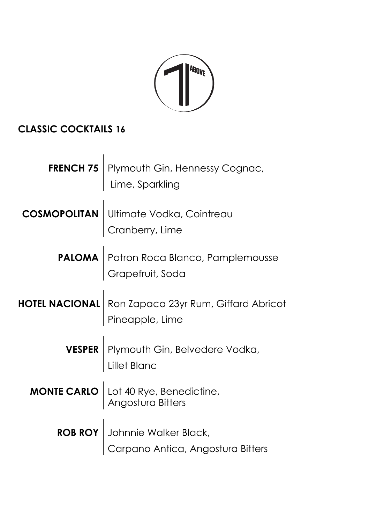

# **CLASSIC COCKTAILS 16**

| <b>FRENCH 75</b> Plymouth Gin, Hennessy Cognac,<br>Lime, Sparkling            |
|-------------------------------------------------------------------------------|
| <b>COSMOPOLITAN</b> Ultimate Vodka, Cointreau<br>Cranberry, Lime              |
| <b>PALOMA</b> Patron Roca Blanco, Pamplemousse                                |
| <b>HOTEL NACIONAL</b> Ron Zapaca 23yr Rum, Giffard Abricot<br>Pineapple, Lime |
| <b>VESPER</b> Plymouth Gin, Belvedere Vodka,                                  |
| <b>MONTE CARLO</b> Lot 40 Rye, Benedictine,                                   |
| ROB ROY Johnnie Walker Black,<br>Carpano Antica, Angostura Bitters            |